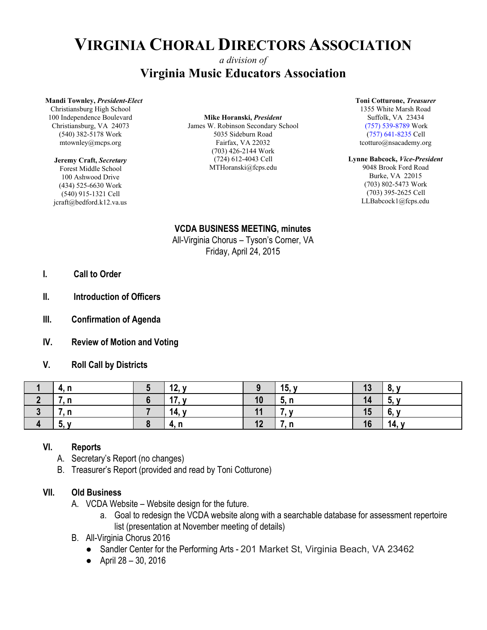# **VIRGINIA CHORAL DIRECTORS ASSOCIATION**

# *a division of* **Virginia Music Educators Association**

#### **Mandi Townley,** *President-Elect*

Christiansburg High School 100 Independence Boulevard Christiansburg, VA 24073 (540) 382-5178 Work mtownley@mcps.org

#### **Jeremy Craft,** *Secretary*

Forest Middle School 100 Ashwood Drive (434) 525-6630 Work (540) 915-1321 Cell jcraft@bedford.k12.va.us

#### **Mike Horanski,** *President* James W. Robinson Secondary School 5035 Sideburn Road Fairfax, VA 22032

(703) 426-2144 Work (724) 612-4043 Cell MTHoranski@fcps.edu **Toni Cotturone,** *Treasurer*

1355 White Marsh Road Suffolk, VA 23434 (757) 539-8789 Work (757) 641-8235 Cell tcotturo@nsacademy.org

#### **Lynne Babcock,** *Vice-President*

9048 Brook Ford Road Burke, VA 22015 (703) 802-5473 Work (703) 395-2625 Cell LLBabcock1@fcps.edu

## **VCDA BUSINESS MEETING, minutes**

All-Virginia Chorus – Tyson's Corner, VA Friday, April 24, 2015

- **I. Call to Order**
- **II. Introduction of Officers**
- **III. Confirmation of Agenda**
- **IV. Review of Motion and Voting**

### **V. Roll Call by Districts**

| <sup>-</sup> 4. L | 12,       |    | 15, $y$ | 13 | 8,<br>$\mathbf{v}$ |
|-------------------|-----------|----|---------|----|--------------------|
| .                 | 47<br>17, | 10 | 5, n    | 14 | v.                 |
| ,, ,,             | 14, y     | 11 |         | 15 | 6,<br>$\mathbf{v}$ |
| J,                | 4. n      | 12 |         | 16 | 14,                |

### **VI. Reports**

- A. Secretary's Report (no changes)
- B. Treasurer's Report (provided and read by Toni Cotturone)

### **VII. Old Business**

- A. VCDA Website Website design for the future.
	- a. Goal to redesign the VCDA website along with a searchable database for assessment repertoire list (presentation at November meeting of details)
- B. All-Virginia Chorus 2016
	- Sandler Center for the Performing Arts 201 Market St, Virginia Beach, VA 23462
	- April 28 30, 2016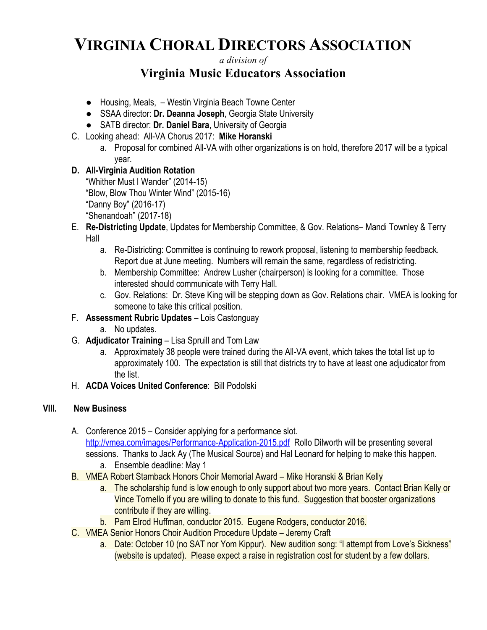# **VIRGINIA CHORAL DIRECTORS ASSOCIATION**

## *a division of* **Virginia Music Educators Association**

- Housing, Meals, Westin Virginia Beach Towne Center
- SSAA director: **Dr. Deanna Joseph**, Georgia State University
- SATB director: **Dr. Daniel Bara**, University of Georgia
- C. Looking ahead: All-VA Chorus 2017: **Mike Horanski**
	- a. Proposal for combined All-VA with other organizations is on hold, therefore 2017 will be a typical year.

## **D. All-Virginia Audition Rotation**

"Whither Must I Wander" (2014-15) "Blow, Blow Thou Winter Wind" (2015-16) "Danny Boy" (2016-17) "Shenandoah" (2017-18)

- E. **Re-Districting Update**, Updates for Membership Committee, & Gov. Relations– Mandi Townley & Terry Hall
	- a. Re-Districting: Committee is continuing to rework proposal, listening to membership feedback. Report due at June meeting. Numbers will remain the same, regardless of redistricting.
	- b. Membership Committee: Andrew Lusher (chairperson) is looking for a committee. Those interested should communicate with Terry Hall.
	- c. Gov. Relations: Dr. Steve King will be stepping down as Gov. Relations chair. VMEA is looking for someone to take this critical position.
- F. **Assessment Rubric Updates** Lois Castonguay
	- a. No updates.
- G. **Adjudicator Training** Lisa Spruill and Tom Law
	- a. Approximately 38 people were trained during the All-VA event, which takes the total list up to approximately 100. The expectation is still that districts try to have at least one adjudicator from the list.
- H. **ACDA Voices United Conference**: Bill Podolski

### **VIII. New Business**

- A. Conference 2015 Consider applying for a performance slot. <http://vmea.com/images/Performance-Application-2015.pdf>Rollo Dilworth will be presenting several sessions. Thanks to Jack Ay (The Musical Source) and Hal Leonard for helping to make this happen.
	- a. Ensemble deadline: May 1
- B. VMEA Robert Stamback Honors Choir Memorial Award Mike Horanski & Brian Kelly
	- a. The scholarship fund is low enough to only support about two more years. Contact Brian Kelly or Vince Tornello if you are willing to donate to this fund. Suggestion that booster organizations contribute if they are willing.
	- b. Pam Elrod Huffman, conductor 2015. Eugene Rodgers, conductor 2016.
- C. VMEA Senior Honors Choir Audition Procedure Update Jeremy Craft
	- a. Date: October 10 (no SAT nor Yom Kippur). New audition song: "I attempt from Love's Sickness" (website is updated). Please expect a raise in registration cost for student by a few dollars.